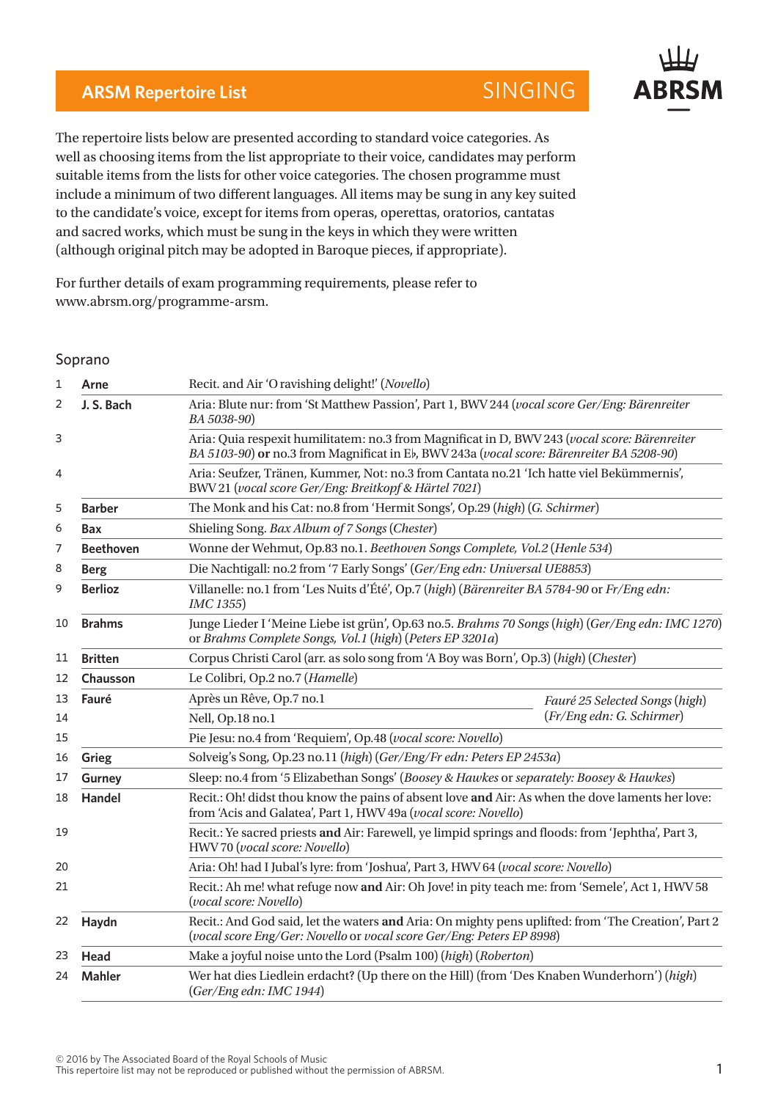## **ARSM Repertoire List SINGING**

The repertoire lists below are presented according to standard voice categories. As well as choosing items from the list appropriate to their voice, candidates may perform suitable items from the lists for other voice categories. The chosen programme must include a minimum of two different languages. All items may be sung in any key suited to the candidate's voice, except for items from operas, operettas, oratorios, cantatas and sacred works, which must be sung in the keys in which they were written (although original pitch may be adopted in Baroque pieces, if appropriate).

For further details of exam programming requirements, please refer to www.abrsm.org/programme-arsm.

## Soprano

| 1  | Arne                                                                                                                      | Recit. and Air 'O ravishing delight!' (Novello)                                                                                                                                                                                                                                                            |                                                                                    |  |
|----|---------------------------------------------------------------------------------------------------------------------------|------------------------------------------------------------------------------------------------------------------------------------------------------------------------------------------------------------------------------------------------------------------------------------------------------------|------------------------------------------------------------------------------------|--|
| 2  | J. S. Bach                                                                                                                | Aria: Blute nur: from 'St Matthew Passion', Part 1, BWV 244 (vocal score Ger/Eng: Bärenreiter<br>BA 5038-90)<br>Aria: Quia respexit humilitatem: no.3 from Magnificat in D, BWV 243 (vocal score: Bärenreiter<br>BA 5103-90) or no.3 from Magnificat in Eb, BWV 243a (vocal score: Bärenreiter BA 5208-90) |                                                                                    |  |
| 3  |                                                                                                                           |                                                                                                                                                                                                                                                                                                            |                                                                                    |  |
| 4  |                                                                                                                           | Aria: Seufzer, Tränen, Kummer, Not: no.3 from Cantata no.21 'Ich hatte viel Bekümmernis',<br>BWV 21 (vocal score Ger/Eng: Breitkopf & Härtel 7021)                                                                                                                                                         |                                                                                    |  |
| 5  | <b>Barber</b>                                                                                                             | The Monk and his Cat: no.8 from 'Hermit Songs', Op.29 (high) (G. Schirmer)                                                                                                                                                                                                                                 |                                                                                    |  |
| 6  | Bax                                                                                                                       | Shieling Song. Bax Album of 7 Songs (Chester)                                                                                                                                                                                                                                                              |                                                                                    |  |
| 7  | <b>Beethoven</b>                                                                                                          | Wonne der Wehmut, Op.83 no.1. Beethoven Songs Complete, Vol.2 (Henle 534)                                                                                                                                                                                                                                  |                                                                                    |  |
| 8  | <b>Berg</b>                                                                                                               | Die Nachtigall: no.2 from '7 Early Songs' (Ger/Eng edn: Universal UE8853)                                                                                                                                                                                                                                  |                                                                                    |  |
| 9  | <b>Berlioz</b>                                                                                                            | Villanelle: no.1 from 'Les Nuits d'Été', Op.7 (high) (Bärenreiter BA 5784-90 or Fr/Eng edn:<br>IMC 1355)                                                                                                                                                                                                   |                                                                                    |  |
| 10 | <b>Brahms</b>                                                                                                             | Junge Lieder I 'Meine Liebe ist grün', Op.63 no.5. Brahms 70 Songs (high) (Ger/Eng edn: IMC 1270)<br>or Brahms Complete Songs, Vol.1 (high) (Peters EP 3201a)                                                                                                                                              |                                                                                    |  |
| 11 | <b>Britten</b>                                                                                                            | Corpus Christi Carol (arr. as solo song from 'A Boy was Born', Op.3) (high) (Chester)                                                                                                                                                                                                                      |                                                                                    |  |
| 12 | Chausson                                                                                                                  | Le Colibri, Op.2 no.7 (Hamelle)                                                                                                                                                                                                                                                                            |                                                                                    |  |
| 13 | Fauré                                                                                                                     | Après un Rêve, Op.7 no.1                                                                                                                                                                                                                                                                                   | Fauré 25 Selected Songs (high)                                                     |  |
| 14 |                                                                                                                           | (Fr/Eng edn: G. Schirmer)<br>Nell, Op.18 no.1                                                                                                                                                                                                                                                              |                                                                                    |  |
| 15 |                                                                                                                           | Pie Jesu: no.4 from 'Requiem', Op.48 (vocal score: Novello)                                                                                                                                                                                                                                                |                                                                                    |  |
| 16 | Grieg                                                                                                                     | Solveig's Song, Op.23 no.11 (high) (Ger/Eng/Fr edn: Peters EP 2453a)                                                                                                                                                                                                                                       |                                                                                    |  |
| 17 | <b>Gurney</b>                                                                                                             | Sleep: no.4 from '5 Elizabethan Songs' (Boosey & Hawkes or separately: Boosey & Hawkes)                                                                                                                                                                                                                    |                                                                                    |  |
| 18 | Handel                                                                                                                    | Recit.: Oh! didst thou know the pains of absent love and Air: As when the dove laments her love:<br>from 'Acis and Galatea', Part 1, HWV 49a (vocal score: Novello)                                                                                                                                        |                                                                                    |  |
| 19 |                                                                                                                           | Recit.: Ye sacred priests and Air: Farewell, ye limpid springs and floods: from 'Jephtha', Part 3,<br>HWV70 (vocal score: Novello)                                                                                                                                                                         |                                                                                    |  |
| 20 |                                                                                                                           |                                                                                                                                                                                                                                                                                                            | Aria: Oh! had I Jubal's lyre: from 'Joshua', Part 3, HWV 64 (vocal score: Novello) |  |
| 21 | Recit.: Ah me! what refuge now and Air: Oh Jove! in pity teach me: from 'Semele', Act 1, HWV 58<br>(vocal score: Novello) |                                                                                                                                                                                                                                                                                                            |                                                                                    |  |
| 22 | Haydn                                                                                                                     | Recit.: And God said, let the waters and Aria: On mighty pens uplifted: from 'The Creation', Part 2<br>(vocal score Eng/Ger: Novello or vocal score Ger/Eng: Peters EP 8998)                                                                                                                               |                                                                                    |  |
| 23 | Head                                                                                                                      | Make a joyful noise unto the Lord (Psalm 100) (high) (Roberton)                                                                                                                                                                                                                                            |                                                                                    |  |
| 24 | <b>Mahler</b>                                                                                                             | Wer hat dies Liedlein erdacht? (Up there on the Hill) (from 'Des Knaben Wunderhorn') (high)<br>(Ger/Eng edn: IMC 1944)                                                                                                                                                                                     |                                                                                    |  |

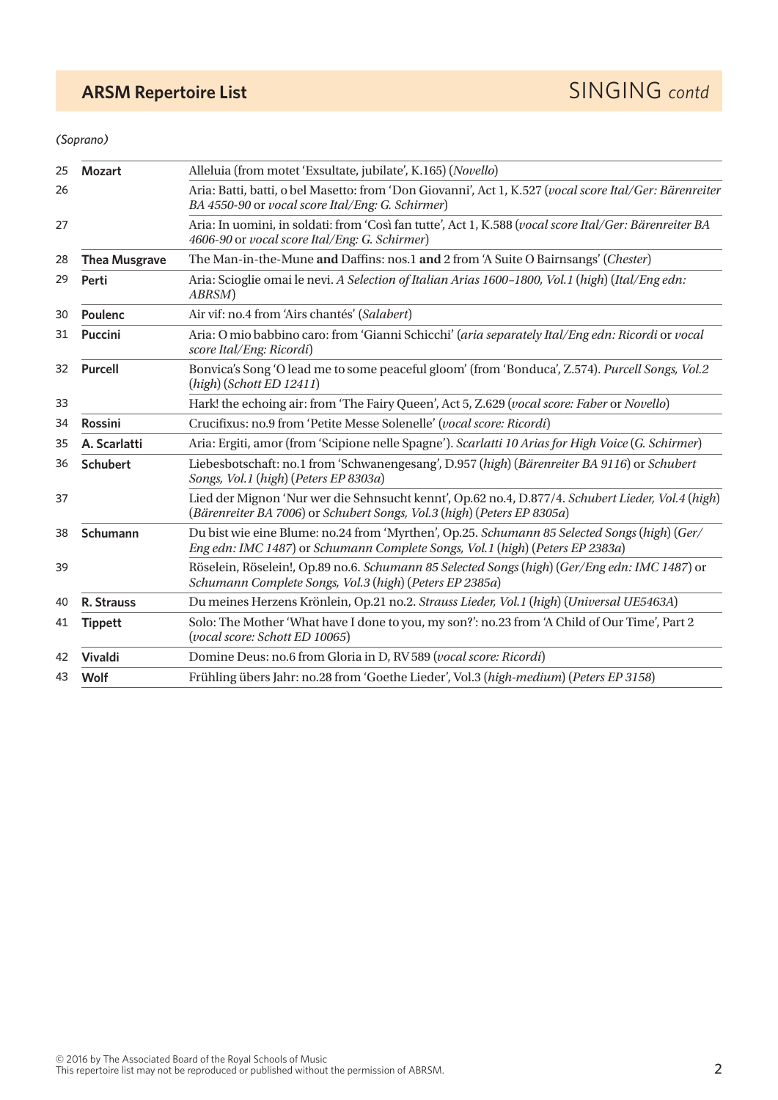## *(Soprano)*

| <b>Mozart</b>                                                                                                                                                                                                                                                                                                                      | Alleluia (from motet 'Exsultate, jubilate', K.165) (Novello)                                                                                                                 |                      |
|------------------------------------------------------------------------------------------------------------------------------------------------------------------------------------------------------------------------------------------------------------------------------------------------------------------------------------|------------------------------------------------------------------------------------------------------------------------------------------------------------------------------|----------------------|
| Aria: Batti, batti, o bel Masetto: from 'Don Giovanni', Act 1, K.527 (vocal score Ital/Ger: Bärenreiter<br>26<br>BA 4550-90 or vocal score Ital/Eng: G. Schirmer)<br>Aria: In uomini, in soldati: from 'Così fan tutte', Act 1, K.588 (vocal score Ital/Ger: Bärenreiter BA<br>27<br>4606-90 or vocal score Ital/Eng: G. Schirmer) |                                                                                                                                                                              |                      |
|                                                                                                                                                                                                                                                                                                                                    |                                                                                                                                                                              | <b>Thea Musgrave</b> |
| Perti                                                                                                                                                                                                                                                                                                                              | Aria: Scioglie omai le nevi. A Selection of Italian Arias 1600-1800, Vol.1 (high) (Ital/Eng edn:<br>ABRSM)                                                                   |                      |
| Poulenc                                                                                                                                                                                                                                                                                                                            | Air vif: no.4 from 'Airs chantés' (Salabert)                                                                                                                                 |                      |
| <b>Puccini</b>                                                                                                                                                                                                                                                                                                                     | Aria: O mio babbino caro: from 'Gianni Schicchi' (aria separately Ital/Eng edn: Ricordi or vocal<br>score Ital/Eng: Ricordi)                                                 |                      |
| Bonvica's Song 'O lead me to some peaceful gloom' (from 'Bonduca', Z.574). Purcell Songs, Vol.2<br><b>Purcell</b><br>32<br>$(high)$ (Schott ED 12411)                                                                                                                                                                              |                                                                                                                                                                              |                      |
|                                                                                                                                                                                                                                                                                                                                    | Hark! the echoing air: from 'The Fairy Queen', Act 5, Z.629 (vocal score: Faber or Novello)                                                                                  |                      |
| <b>Rossini</b>                                                                                                                                                                                                                                                                                                                     | Crucifixus: no.9 from 'Petite Messe Solenelle' (vocal score: Ricordi)                                                                                                        |                      |
| A. Scarlatti                                                                                                                                                                                                                                                                                                                       | Aria: Ergiti, amor (from 'Scipione nelle Spagne'). Scarlatti 10 Arias for High Voice (G. Schirmer)                                                                           |                      |
| Liebesbotschaft: no.1 from 'Schwanengesang', D.957 (high) (Bärenreiter BA 9116) or Schubert<br><b>Schubert</b><br>36<br>Songs, Vol.1 (high) (Peters EP 8303a)                                                                                                                                                                      |                                                                                                                                                                              |                      |
|                                                                                                                                                                                                                                                                                                                                    | Lied der Mignon 'Nur wer die Sehnsucht kennt', Op.62 no.4, D.877/4. Schubert Lieder, Vol.4 (high)<br>(Bärenreiter BA 7006) or Schubert Songs, Vol.3 (high) (Peters EP 8305a) |                      |
| Du bist wie eine Blume: no.24 from 'Myrthen', Op.25. Schumann 85 Selected Songs (high) (Ger/<br>Schumann<br>38<br>Eng edn: IMC 1487) or Schumann Complete Songs, Vol. 1 (high) (Peters EP 2383a)                                                                                                                                   |                                                                                                                                                                              |                      |
|                                                                                                                                                                                                                                                                                                                                    | Röselein, Röselein!, Op.89 no.6. Schumann 85 Selected Songs (high) (Ger/Eng edn: IMC 1487) or<br>Schumann Complete Songs, Vol.3 (high) (Peters EP 2385a)                     |                      |
| R. Strauss                                                                                                                                                                                                                                                                                                                         | Du meines Herzens Krönlein, Op.21 no.2. Strauss Lieder, Vol.1 (high) (Universal UE5463A)                                                                                     |                      |
| <b>Tippett</b>                                                                                                                                                                                                                                                                                                                     | Solo: The Mother 'What have I done to you, my son?': no.23 from 'A Child of Our Time', Part 2<br>(vocal score: Schott ED 10065)                                              |                      |
| <b>Vivaldi</b>                                                                                                                                                                                                                                                                                                                     | Domine Deus: no.6 from Gloria in D, RV 589 (vocal score: Ricordi)                                                                                                            |                      |
| Wolf                                                                                                                                                                                                                                                                                                                               | Frühling übers Jahr: no.28 from 'Goethe Lieder', Vol.3 (high-medium) (Peters EP 3158)                                                                                        |                      |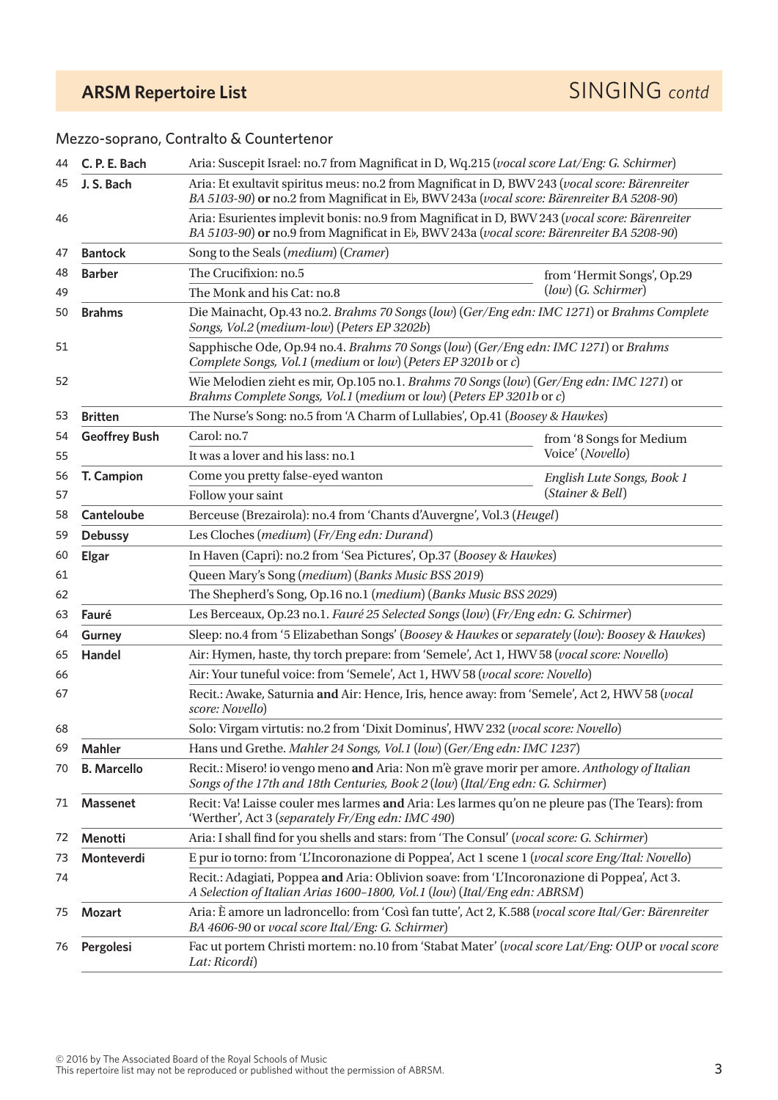## Mezzo-soprano, Contralto & Countertenor

| 44 | C. P. E. Bach                                                                                                    | Aria: Suscepit Israel: no.7 from Magnificat in D, Wq.215 (vocal score Lat/Eng: G. Schirmer)                                                                                                 |                            |  |
|----|------------------------------------------------------------------------------------------------------------------|---------------------------------------------------------------------------------------------------------------------------------------------------------------------------------------------|----------------------------|--|
| 45 | J. S. Bach                                                                                                       | Aria: Et exultavit spiritus meus: no.2 from Magnificat in D, BWV 243 (vocal score: Bärenreiter<br>BA 5103-90) or no.2 from Magnificat in Eb, BWV 243a (vocal score: Bärenreiter BA 5208-90) |                            |  |
| 46 |                                                                                                                  | Aria: Esurientes implevit bonis: no.9 from Magnificat in D, BWV 243 (vocal score: Bärenreiter<br>BA 5103-90) or no.9 from Magnificat in Eb, BWV 243a (vocal score: Bärenreiter BA 5208-90)  |                            |  |
| 47 | <b>Bantock</b>                                                                                                   | Song to the Seals (medium) (Cramer)                                                                                                                                                         |                            |  |
| 48 | <b>Barber</b>                                                                                                    | The Crucifixion: no.5                                                                                                                                                                       | from 'Hermit Songs', Op.29 |  |
| 49 |                                                                                                                  | (low) (G. Schirmer)<br>The Monk and his Cat: no.8                                                                                                                                           |                            |  |
| 50 | <b>Brahms</b>                                                                                                    | Die Mainacht, Op.43 no.2. Brahms 70 Songs (low) (Ger/Eng edn: IMC 1271) or Brahms Complete<br>Songs, Vol.2 (medium-low) (Peters EP 3202b)                                                   |                            |  |
| 51 |                                                                                                                  | Sapphische Ode, Op.94 no.4. Brahms 70 Songs (low) (Ger/Eng edn: IMC 1271) or Brahms<br>Complete Songs, Vol.1 (medium or low) (Peters EP 3201b or c)                                         |                            |  |
| 52 |                                                                                                                  | Wie Melodien zieht es mir, Op.105 no.1. Brahms 70 Songs (low) (Ger/Eng edn: IMC 1271) or<br>Brahms Complete Songs, Vol.1 (medium or low) (Peters EP 3201b or c)                             |                            |  |
| 53 | <b>Britten</b>                                                                                                   | The Nurse's Song: no.5 from 'A Charm of Lullabies', Op.41 (Boosey & Hawkes)                                                                                                                 |                            |  |
| 54 | <b>Geoffrey Bush</b>                                                                                             | Carol: no.7                                                                                                                                                                                 | from '8 Songs for Medium   |  |
| 55 |                                                                                                                  | It was a lover and his lass: no.1                                                                                                                                                           | Voice' (Novello)           |  |
| 56 | T. Campion                                                                                                       | Come you pretty false-eyed wanton                                                                                                                                                           | English Lute Songs, Book 1 |  |
| 57 |                                                                                                                  | Follow your saint                                                                                                                                                                           | (Stainer & Bell)           |  |
| 58 | <b>Canteloube</b>                                                                                                | Berceuse (Brezairola): no.4 from 'Chants d'Auvergne', Vol.3 (Heugel)                                                                                                                        |                            |  |
| 59 | <b>Debussy</b>                                                                                                   | Les Cloches (medium) (Fr/Eng edn: Durand)                                                                                                                                                   |                            |  |
| 60 | <b>Elgar</b>                                                                                                     | In Haven (Capri): no.2 from 'Sea Pictures', Op.37 (Boosey & Hawkes)                                                                                                                         |                            |  |
| 61 |                                                                                                                  | Queen Mary's Song (medium) (Banks Music BSS 2019)                                                                                                                                           |                            |  |
| 62 |                                                                                                                  | The Shepherd's Song, Op.16 no.1 (medium) (Banks Music BSS 2029)                                                                                                                             |                            |  |
| 63 | Fauré                                                                                                            | Les Berceaux, Op.23 no.1. Fauré 25 Selected Songs (low) (Fr/Eng edn: G. Schirmer)                                                                                                           |                            |  |
| 64 | <b>Gurney</b>                                                                                                    | Sleep: no.4 from '5 Elizabethan Songs' (Boosey & Hawkes or separately (low): Boosey & Hawkes)                                                                                               |                            |  |
| 65 | Handel                                                                                                           | Air: Hymen, haste, thy torch prepare: from 'Semele', Act 1, HWV 58 (vocal score: Novello)                                                                                                   |                            |  |
| 66 | Air: Your tuneful voice: from 'Semele', Act 1, HWV 58 (vocal score: Novello)                                     |                                                                                                                                                                                             |                            |  |
| 67 | Recit.: Awake, Saturnia and Air: Hence, Iris, hence away: from 'Semele', Act 2, HWV 58 (vocal<br>score: Novello) |                                                                                                                                                                                             |                            |  |
| 68 |                                                                                                                  | Solo: Virgam virtutis: no.2 from 'Dixit Dominus', HWV 232 (vocal score: Novello)                                                                                                            |                            |  |
| 69 | Mahler                                                                                                           | Hans und Grethe. Mahler 24 Songs, Vol.1 (low) (Ger/Eng edn: IMC 1237)                                                                                                                       |                            |  |
| 70 | <b>B. Marcello</b>                                                                                               | Recit.: Misero! io vengo meno and Aria: Non m'è grave morir per amore. Anthology of Italian<br>Songs of the 17th and 18th Centuries, Book 2 (low) (Ital/Eng edn: G. Schirmer)               |                            |  |
| 71 | <b>Massenet</b>                                                                                                  | Recit: Va! Laisse couler mes larmes and Aria: Les larmes qu'on ne pleure pas (The Tears): from<br>'Werther', Act 3 (separately Fr/Eng edn: IMC 490)                                         |                            |  |
| 72 | Menotti                                                                                                          | Aria: I shall find for you shells and stars: from 'The Consul' (vocal score: G. Schirmer)                                                                                                   |                            |  |
| 73 | Monteverdi                                                                                                       | E pur io torno: from 'L'Incoronazione di Poppea', Act 1 scene 1 (vocal score Eng/Ital: Novello)                                                                                             |                            |  |
| 74 |                                                                                                                  | Recit.: Adagiati, Poppea and Aria: Oblivion soave: from 'L'Incoronazione di Poppea', Act 3.<br>A Selection of Italian Arias 1600-1800, Vol.1 (low) (Ital/Eng edn: ABRSM)                    |                            |  |
| 75 | <b>Mozart</b>                                                                                                    | Aria: È amore un ladroncello: from 'Così fan tutte', Act 2, K.588 (vocal score Ital/Ger: Bärenreiter<br>BA 4606-90 or vocal score Ital/Eng: G. Schirmer)                                    |                            |  |
| 76 | Pergolesi                                                                                                        | Fac ut portem Christi mortem: no.10 from 'Stabat Mater' (vocal score Lat/Eng: OUP or vocal score<br>Lat: Ricordi)                                                                           |                            |  |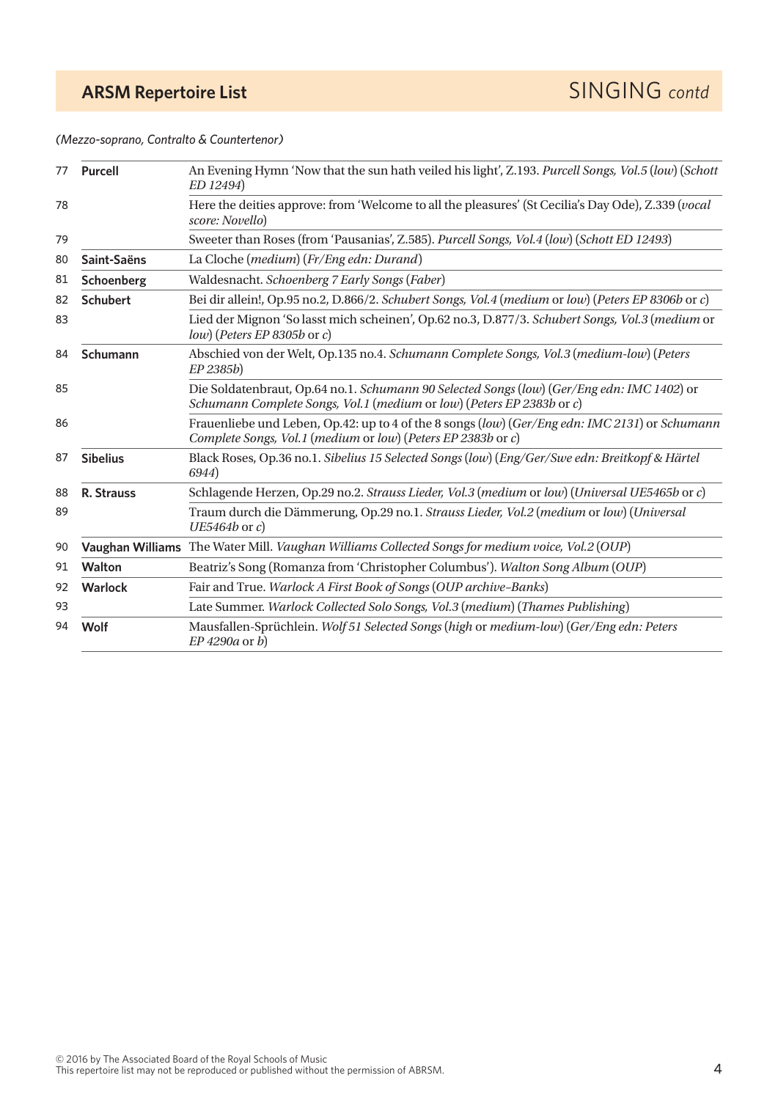*(Mezzo-soprano, Contralto & Countertenor)*

| 77                                                                                                               | An Evening Hymn 'Now that the sun hath veiled his light', Z.193. Purcell Songs, Vol.5 (low) (Schott<br><b>Purcell</b><br>ED 12494) |                                                                                                                                                                |  |
|------------------------------------------------------------------------------------------------------------------|------------------------------------------------------------------------------------------------------------------------------------|----------------------------------------------------------------------------------------------------------------------------------------------------------------|--|
| 78                                                                                                               |                                                                                                                                    | Here the deities approve: from 'Welcome to all the pleasures' (St Cecilia's Day Ode), Z.339 (vocal<br>score: Novello)                                          |  |
| 79                                                                                                               | Sweeter than Roses (from 'Pausanias', Z.585). Purcell Songs, Vol.4 (low) (Schott ED 12493)                                         |                                                                                                                                                                |  |
| 80                                                                                                               | Saint-Saëns                                                                                                                        | La Cloche (medium) (Fr/Eng edn: Durand)                                                                                                                        |  |
| 81                                                                                                               | Schoenberg                                                                                                                         | Waldesnacht. Schoenberg 7 Early Songs (Faber)                                                                                                                  |  |
| 82                                                                                                               | <b>Schubert</b>                                                                                                                    | Bei dir allein!, Op.95 no.2, D.866/2. Schubert Songs, Vol.4 (medium or low) (Peters EP 8306b or c)                                                             |  |
| 83                                                                                                               |                                                                                                                                    | Lied der Mignon 'So lasst mich scheinen', Op.62 no.3, D.877/3. Schubert Songs, Vol.3 (medium or<br>$low$ ) (Peters EP 8305b or c)                              |  |
| Schumann<br>84<br>EP 2385b)<br>85<br>Schumann Complete Songs, Vol.1 (medium or low) (Peters EP 2383b or c)<br>86 |                                                                                                                                    | Abschied von der Welt, Op.135 no.4. Schumann Complete Songs, Vol.3 (medium-low) (Peters                                                                        |  |
|                                                                                                                  |                                                                                                                                    | Die Soldatenbraut, Op.64 no.1. Schumann 90 Selected Songs (low) (Ger/Eng edn: IMC 1402) or                                                                     |  |
|                                                                                                                  |                                                                                                                                    | Frauenliebe und Leben, Op.42: up to 4 of the 8 songs (low) (Ger/Eng edn: IMC 2131) or Schumann<br>Complete Songs, Vol.1 (medium or low) (Peters EP 2383b or c) |  |
| 87                                                                                                               | <b>Sibelius</b>                                                                                                                    | Black Roses, Op.36 no.1. Sibelius 15 Selected Songs (low) (Eng/Ger/Swe edn: Breitkopf & Härtel<br>6944)                                                        |  |
| 88                                                                                                               | R. Strauss                                                                                                                         | Schlagende Herzen, Op.29 no.2. Strauss Lieder, Vol.3 (medium or low) (Universal UE5465b or c)                                                                  |  |
| 89                                                                                                               |                                                                                                                                    | Traum durch die Dämmerung, Op.29 no.1. Strauss Lieder, Vol.2 (medium or low) (Universal<br>$UE5464b$ or $c$ )                                                  |  |
| 90                                                                                                               |                                                                                                                                    | Vaughan Williams The Water Mill. Vaughan Williams Collected Songs for medium voice, Vol.2 (OUP)                                                                |  |
| 91                                                                                                               | Walton                                                                                                                             | Beatriz's Song (Romanza from 'Christopher Columbus'). Walton Song Album (OUP)                                                                                  |  |
| 92                                                                                                               | <b>Warlock</b>                                                                                                                     | Fair and True. Warlock A First Book of Songs (OUP archive-Banks)                                                                                               |  |
| 93                                                                                                               |                                                                                                                                    | Late Summer. Warlock Collected Solo Songs, Vol.3 (medium) (Thames Publishing)                                                                                  |  |
| 94                                                                                                               | Wolf                                                                                                                               | Mausfallen-Sprüchlein. Wolf 51 Selected Songs (high or medium-low) (Ger/Eng edn: Peters<br>$EP$ 4290a or b)                                                    |  |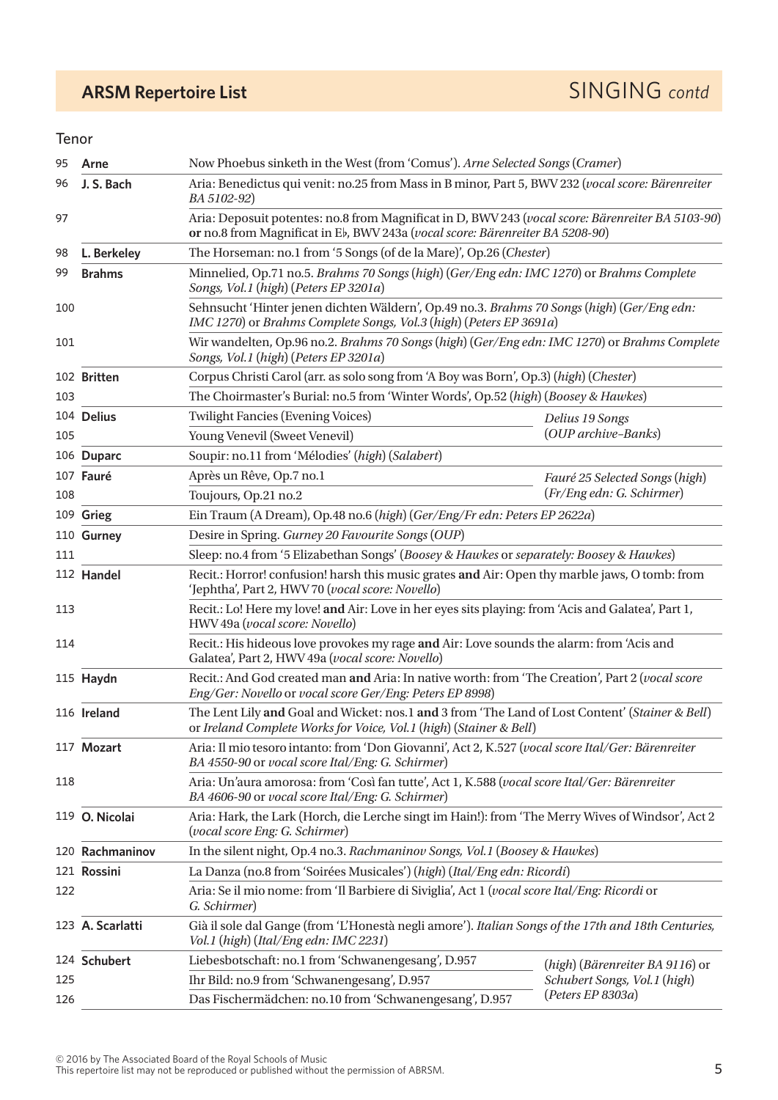# **ARSM Repertoire List** SINGING *contd*

## Tenor

| 95  | Arne                                        | Now Phoebus sinketh in the West (from 'Comus'). Arne Selected Songs (Cramer)                                                                                                       |                                 |  |
|-----|---------------------------------------------|------------------------------------------------------------------------------------------------------------------------------------------------------------------------------------|---------------------------------|--|
| 96  | J. S. Bach                                  | Aria: Benedictus qui venit: no.25 from Mass in B minor, Part 5, BWV 232 (vocal score: Bärenreiter<br>BA 5102-92)                                                                   |                                 |  |
| 97  |                                             | Aria: Deposuit potentes: no.8 from Magnificat in D, BWV 243 (vocal score: Bärenreiter BA 5103-90)<br>or no.8 from Magnificat in Eb, BWV 243a (vocal score: Bärenreiter BA 5208-90) |                                 |  |
| 98  | L. Berkeley                                 | The Horseman: no.1 from '5 Songs (of de la Mare)', Op.26 (Chester)                                                                                                                 |                                 |  |
| 99  | <b>Brahms</b>                               | Minnelied, Op.71 no.5. Brahms 70 Songs (high) (Ger/Eng edn: IMC 1270) or Brahms Complete<br>Songs, Vol.1 (high) (Peters EP 3201a)                                                  |                                 |  |
| 100 |                                             | Sehnsucht 'Hinter jenen dichten Wäldern', Op.49 no.3. Brahms 70 Songs (high) (Ger/Eng edn:<br>IMC 1270) or Brahms Complete Songs, Vol.3 (high) (Peters EP 3691a)                   |                                 |  |
| 101 |                                             | Wir wandelten, Op.96 no.2. Brahms 70 Songs (high) (Ger/Eng edn: IMC 1270) or Brahms Complete<br>Songs, Vol.1 (high) (Peters EP 3201a)                                              |                                 |  |
|     | 102 Britten                                 | Corpus Christi Carol (arr. as solo song from 'A Boy was Born', Op.3) (high) (Chester)                                                                                              |                                 |  |
| 103 |                                             | The Choirmaster's Burial: no.5 from 'Winter Words', Op.52 (high) (Boosey & Hawkes)                                                                                                 |                                 |  |
|     | 104 Delius                                  | <b>Twilight Fancies (Evening Voices)</b>                                                                                                                                           | Delius 19 Songs                 |  |
| 105 |                                             | Young Venevil (Sweet Venevil)                                                                                                                                                      | (OUP archive-Banks)             |  |
|     | 106 Duparc                                  | Soupir: no.11 from 'Mélodies' (high) (Salabert)                                                                                                                                    |                                 |  |
|     | 107 Fauré                                   | Après un Rêve, Op.7 no.1                                                                                                                                                           | Fauré 25 Selected Songs (high)  |  |
| 108 |                                             | Toujours, Op.21 no.2                                                                                                                                                               | (Fr/Eng edn: G. Schirmer)       |  |
|     | 109 Grieg                                   | Ein Traum (A Dream), Op.48 no.6 (high) (Ger/Eng/Fr edn: Peters EP 2622a)                                                                                                           |                                 |  |
|     | 110 Gurney                                  | Desire in Spring. Gurney 20 Favourite Songs (OUP)                                                                                                                                  |                                 |  |
| 111 |                                             | Sleep: no.4 from '5 Elizabethan Songs' (Boosey & Hawkes or separately: Boosey & Hawkes)                                                                                            |                                 |  |
|     | 112 Handel                                  | Recit.: Horror! confusion! harsh this music grates and Air: Open thy marble jaws, O tomb: from<br>'Jephtha', Part 2, HWV 70 (vocal score: Novello)                                 |                                 |  |
| 113 |                                             | Recit.: Lo! Here my love! and Air: Love in her eyes sits playing: from 'Acis and Galatea', Part 1,<br>HWV 49a (vocal score: Novello)                                               |                                 |  |
| 114 |                                             | Recit.: His hideous love provokes my rage and Air: Love sounds the alarm: from 'Acis and<br>Galatea', Part 2, HWV 49a (vocal score: Novello)                                       |                                 |  |
|     | 115 Haydn                                   | Recit.: And God created man and Aria: In native worth: from 'The Creation', Part 2 (vocal score<br>Eng/Ger: Novello or vocal score Ger/Eng: Peters EP 8998)                        |                                 |  |
|     | 116 Ireland                                 | The Lent Lily and Goal and Wicket: nos.1 and 3 from 'The Land of Lost Content' (Stainer & Bell)<br>or Ireland Complete Works for Voice, Vol.1 (high) (Stainer & Bell)              |                                 |  |
|     | 117 Mozart                                  | Aria: Il mio tesoro intanto: from 'Don Giovanni', Act 2, K.527 (vocal score Ital/Ger: Bärenreiter<br>BA 4550-90 or vocal score Ital/Eng: G. Schirmer)                              |                                 |  |
| 118 |                                             | Aria: Un'aura amorosa: from 'Così fan tutte', Act 1, K.588 (vocal score Ital/Ger: Bärenreiter<br>BA 4606-90 or vocal score Ital/Eng: G. Schirmer)                                  |                                 |  |
|     | 119 O. Nicolai                              | Aria: Hark, the Lark (Horch, die Lerche singt im Hain!): from 'The Merry Wives of Windsor', Act 2<br>(vocal score Eng: G. Schirmer)                                                |                                 |  |
|     | 120 Rachmaninov                             | In the silent night, Op.4 no.3. Rachmaninov Songs, Vol.1 (Boosey & Hawkes)                                                                                                         |                                 |  |
|     | 121 Rossini                                 | La Danza (no.8 from 'Soirées Musicales') (high) (Ital/Eng edn: Ricordi)                                                                                                            |                                 |  |
| 122 |                                             | Aria: Se il mio nome: from 'Il Barbiere di Siviglia', Act 1 (vocal score Ital/Eng: Ricordi or<br>G. Schirmer)                                                                      |                                 |  |
|     | 123 A. Scarlatti                            | Già il sole dal Gange (from 'L'Honestà negli amore'). Italian Songs of the 17th and 18th Centuries,<br>Vol.1 (high) (Ital/Eng edn: IMC 2231)                                       |                                 |  |
|     | 124 Schubert                                | Liebesbotschaft: no.1 from 'Schwanengesang', D.957                                                                                                                                 | (high) (Bärenreiter BA 9116) or |  |
| 125 | Ihr Bild: no.9 from 'Schwanengesang', D.957 |                                                                                                                                                                                    | Schubert Songs, Vol.1 (high)    |  |
| 126 |                                             | Das Fischermädchen: no.10 from 'Schwanengesang', D.957                                                                                                                             | (Peters EP 8303a)               |  |

© 2016 by The Associated Board of the Royal Schools of Music<br>This repertoire list may not be reproduced or published without the permission of ABRSM.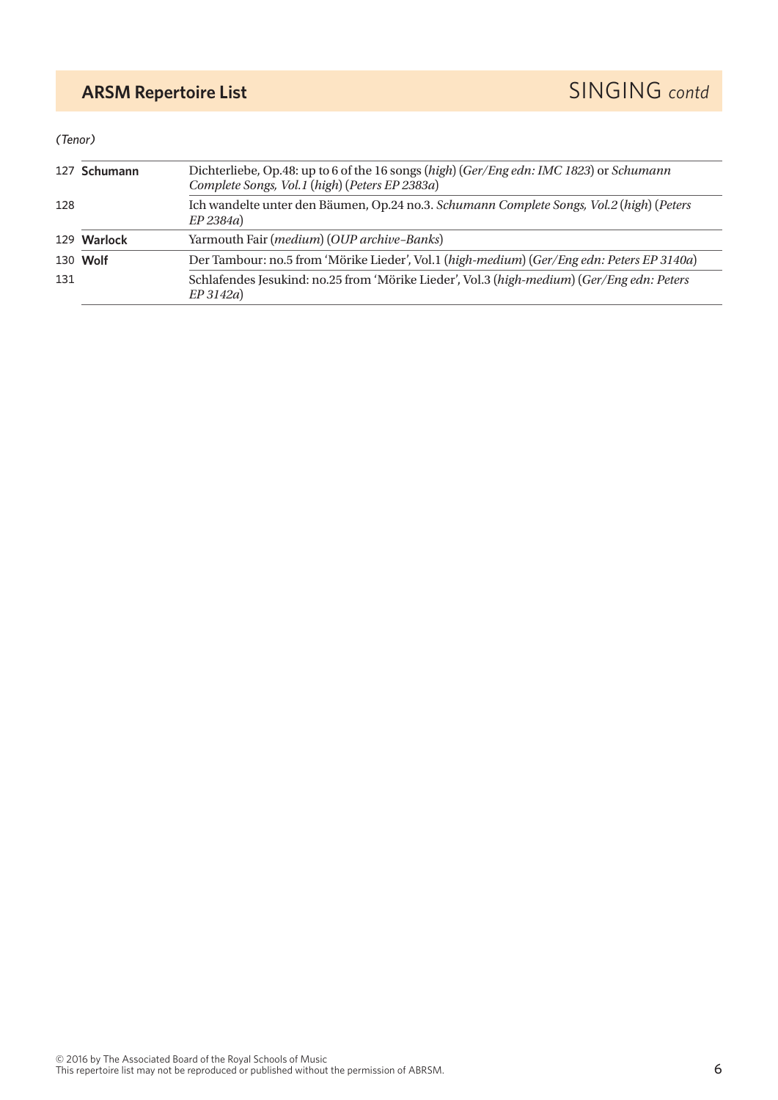## *(Tenor)*

|                    | 127 Schumann                                              | Dichterliebe, Op.48: up to 6 of the 16 songs (high) (Ger/Eng edn: IMC 1823) or Schumann<br>Complete Songs, Vol.1 (high) (Peters EP 2383a) |  |
|--------------------|-----------------------------------------------------------|-------------------------------------------------------------------------------------------------------------------------------------------|--|
| 128<br>$EP$ 2384a) |                                                           | Ich wandelte unter den Bäumen, Op.24 no.3. Schumann Complete Songs, Vol.2 (high) (Peters                                                  |  |
|                    | Yarmouth Fair (medium) (OUP archive-Banks)<br>129 Warlock |                                                                                                                                           |  |
|                    | 130 Wolf                                                  | Der Tambour: no.5 from 'Mörike Lieder', Vol.1 (high-medium) (Ger/Eng edn: Peters EP 3140a)                                                |  |
| 131                |                                                           | Schlafendes Jesukind: no.25 from 'Mörike Lieder', Vol.3 (high-medium) (Ger/Eng edn: Peters<br>EP 3142a)                                   |  |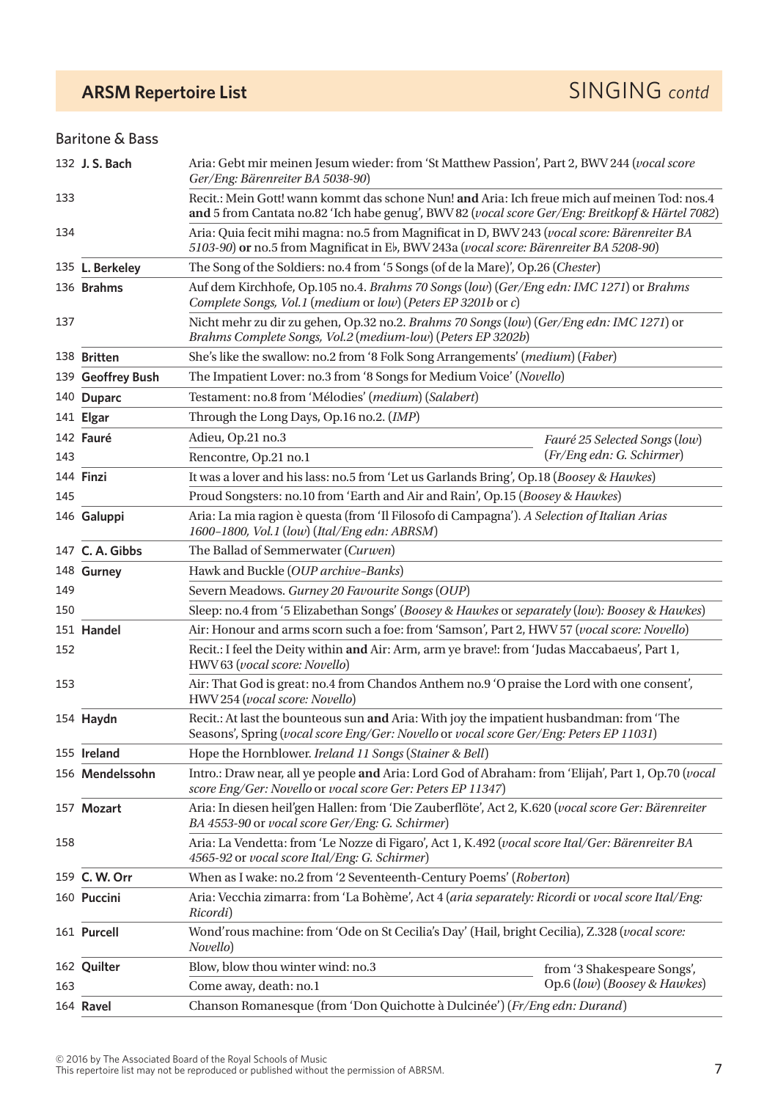## Baritone & Bass

|     | 132 J. S. Bach    | Aria: Gebt mir meinen Jesum wieder: from 'St Matthew Passion', Part 2, BWV 244 (vocal score<br>Ger/Eng: Bärenreiter BA 5038-90)                                                                  |                               |  |
|-----|-------------------|--------------------------------------------------------------------------------------------------------------------------------------------------------------------------------------------------|-------------------------------|--|
| 133 |                   | Recit.: Mein Gott! wann kommt das schone Nun! and Aria: Ich freue mich auf meinen Tod: nos.4<br>and 5 from Cantata no.82 'Ich habe genug', BWV 82 (vocal score Ger/Eng: Breitkopf & Härtel 7082) |                               |  |
| 134 |                   | Aria: Quia fecit mihi magna: no.5 from Magnificat in D, BWV 243 (vocal score: Bärenreiter BA<br>5103-90) or no.5 from Magnificat in Eb, BWV 243a (vocal score: Bärenreiter BA 5208-90)           |                               |  |
|     | 135 L. Berkeley   | The Song of the Soldiers: no.4 from '5 Songs (of de la Mare)', Op.26 (Chester)                                                                                                                   |                               |  |
|     | 136 Brahms        | Auf dem Kirchhofe, Op.105 no.4. Brahms 70 Songs (low) (Ger/Eng edn: IMC 1271) or Brahms<br>Complete Songs, Vol.1 (medium or low) (Peters EP 3201b or c)                                          |                               |  |
| 137 |                   | Nicht mehr zu dir zu gehen, Op.32 no.2. Brahms 70 Songs (low) (Ger/Eng edn: IMC 1271) or<br>Brahms Complete Songs, Vol.2 (medium-low) (Peters EP 3202b)                                          |                               |  |
|     | 138 Britten       | She's like the swallow: no.2 from '8 Folk Song Arrangements' (medium) (Faber)                                                                                                                    |                               |  |
|     | 139 Geoffrey Bush | The Impatient Lover: no.3 from '8 Songs for Medium Voice' (Novello)                                                                                                                              |                               |  |
|     | 140 Duparc        | Testament: no.8 from 'Mélodies' (medium) (Salabert)                                                                                                                                              |                               |  |
|     | 141 Elgar         | Through the Long Days, Op.16 no.2. (IMP)                                                                                                                                                         |                               |  |
|     | 142 Fauré         | Adieu, Op.21 no.3                                                                                                                                                                                | Fauré 25 Selected Songs (low) |  |
| 143 |                   | Rencontre, Op.21 no.1                                                                                                                                                                            | (Fr/Eng edn: G. Schirmer)     |  |
|     | 144 Finzi         | It was a lover and his lass: no.5 from 'Let us Garlands Bring', Op.18 (Boosey & Hawkes)                                                                                                          |                               |  |
| 145 |                   | Proud Songsters: no.10 from 'Earth and Air and Rain', Op.15 (Boosey & Hawkes)                                                                                                                    |                               |  |
|     | 146 Galuppi       | Aria: La mia ragion è questa (from 'Il Filosofo di Campagna'). A Selection of Italian Arias<br>1600-1800, Vol.1 (low) (Ital/Eng edn: ABRSM)                                                      |                               |  |
|     | 147 C. A. Gibbs   | The Ballad of Semmerwater (Curwen)                                                                                                                                                               |                               |  |
|     | 148 Gurney        | Hawk and Buckle (OUP archive-Banks)                                                                                                                                                              |                               |  |
| 149 |                   | Severn Meadows. Gurney 20 Favourite Songs (OUP)                                                                                                                                                  |                               |  |
| 150 |                   | Sleep: no.4 from '5 Elizabethan Songs' (Boosey & Hawkes or separately (low): Boosey & Hawkes)                                                                                                    |                               |  |
|     | 151 Handel        | Air: Honour and arms scorn such a foe: from 'Samson', Part 2, HWV 57 (vocal score: Novello)                                                                                                      |                               |  |
| 152 |                   | Recit.: I feel the Deity within and Air: Arm, arm ye brave!: from 'Judas Maccabaeus', Part 1,<br>HWV 63 (vocal score: Novello)                                                                   |                               |  |
| 153 |                   | Air: That God is great: no.4 from Chandos Anthem no.9 'O praise the Lord with one consent',<br>HWV 254 (vocal score: Novello)                                                                    |                               |  |
|     | 154 Haydn         | Recit.: At last the bounteous sun and Aria: With joy the impatient husbandman: from 'The<br>Seasons', Spring (vocal score Eng/Ger: Novello or vocal score Ger/Eng: Peters EP 11031)              |                               |  |
|     | 155 Ireland       | Hope the Hornblower. Ireland 11 Songs (Stainer & Bell)                                                                                                                                           |                               |  |
|     | 156 Mendelssohn   | Intro.: Draw near, all ye people and Aria: Lord God of Abraham: from 'Elijah', Part 1, Op.70 (vocal<br>score Eng/Ger: Novello or vocal score Ger: Peters EP 11347)                               |                               |  |
|     | 157 Mozart        | Aria: In diesen heil'gen Hallen: from 'Die Zauberflöte', Act 2, K.620 (vocal score Ger: Bärenreiter<br>BA 4553-90 or vocal score Ger/Eng: G. Schirmer)                                           |                               |  |
| 158 |                   | Aria: La Vendetta: from 'Le Nozze di Figaro', Act 1, K.492 (vocal score Ital/Ger: Bärenreiter BA<br>4565-92 or vocal score Ital/Eng: G. Schirmer)                                                |                               |  |
|     | 159 C. W. Orr     | When as I wake: no.2 from '2 Seventeenth-Century Poems' (Roberton)                                                                                                                               |                               |  |
|     | 160 Puccini       | Aria: Vecchia zimarra: from 'La Bohème', Act 4 (aria separately: Ricordi or vocal score Ital/Eng:<br>Ricordi)                                                                                    |                               |  |
|     | 161 Purcell       | Wond'rous machine: from 'Ode on St Cecilia's Day' (Hail, bright Cecilia), Z.328 (vocal score:<br>Novello)                                                                                        |                               |  |
|     | 162 Quilter       | Blow, blow thou winter wind: no.3                                                                                                                                                                | from '3 Shakespeare Songs',   |  |
| 163 |                   | Op.6 (low) (Boosey & Hawkes)<br>Come away, death: no.1                                                                                                                                           |                               |  |
|     | 164 Ravel         | Chanson Romanesque (from 'Don Quichotte à Dulcinée') (Fr/Eng edn: Durand)                                                                                                                        |                               |  |

© 2016 by The Associated Board of the Royal Schools of Music<br>This repertoire list may not be reproduced or published without the permission of ABRSM.